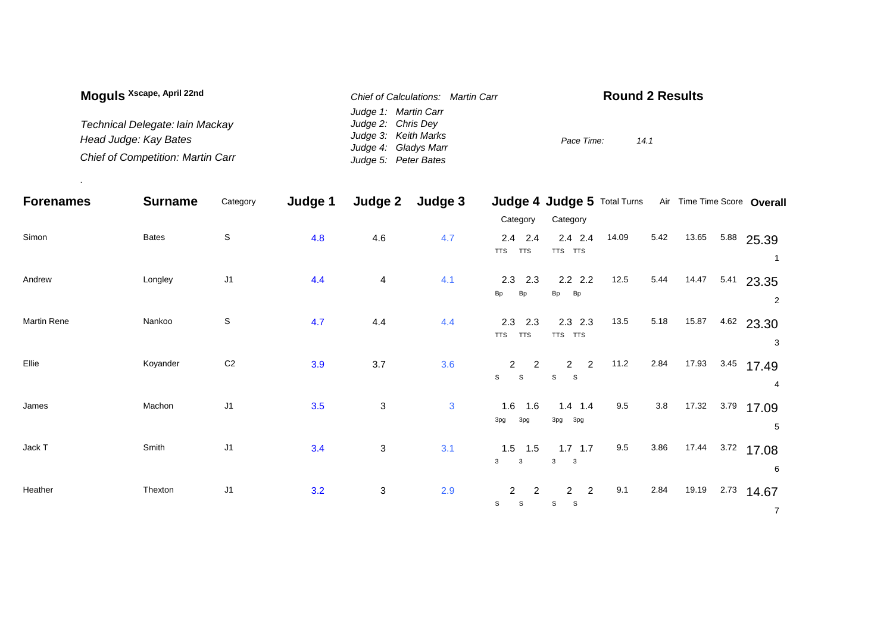| Moguls <sup>Xscape, April 22nd</sup>     | Chief of Calculations: Martin Carr | <b>Round 2 Results</b> |
|------------------------------------------|------------------------------------|------------------------|
|                                          | Judge 1: Martin Carr               |                        |
| Technical Delegate: lain Mackay          | Judge 2: Chris Dey                 |                        |
| Head Judge: Kay Bates                    | Judge 3: Keith Marks               | Pace Time:<br>14.1     |
|                                          | Judge 4: Gladys Marr               |                        |
| <b>Chief of Competition: Martin Carr</b> | Judge 5: Peter Bates               |                        |

.

| <b>Forenames</b> | <b>Surname</b> | Category       | Judge 1 | Judge 2 | Judge 3      |                                                                 | Judge 4 Judge 5 Total Turns                           |       |      |       | Air Time Time Score Overall  |
|------------------|----------------|----------------|---------|---------|--------------|-----------------------------------------------------------------|-------------------------------------------------------|-------|------|-------|------------------------------|
|                  |                |                |         |         |              | Category                                                        | Category                                              |       |      |       |                              |
| Simon            | <b>Bates</b>   | $\mathbb S$    | 4.8     | 4.6     | 4.7          | $2.4$ 2.4<br><b>TTS</b><br><b>TTS</b>                           | $2.4$ 2.4<br>TTS TTS                                  | 14.09 | 5.42 | 13.65 | 5.88 25.39<br>1              |
| Andrew           | Longley        | J <sub>1</sub> | 4.4     | 4       | 4.1          | $2.3$ $2.3$<br><b>Bp</b><br><b>Bp</b>                           | $2.2$ 2.2<br>Bp<br>Bp                                 | 12.5  | 5.44 | 14.47 | $5.41$ 23.35<br>2            |
| Martin Rene      | Nankoo         | S              | 4.7     | 4.4     | 4.4          | 2.3<br>2.3<br><b>TTS</b><br><b>TTS</b>                          | $2.3$ 2.3<br>TTS TTS                                  | 13.5  | 5.18 | 15.87 | $4.62$ 23.30<br>3            |
| Ellie            | Koyander       | C <sub>2</sub> | 3.9     | $3.7\,$ | 3.6          | $\overline{2}$<br>$\overline{2}$<br>$\mathbf{s}$<br>$\mathbb S$ | $\overline{2}$<br>$\overline{2}$<br>S<br>S            | 11.2  | 2.84 | 17.93 | $3.45$ 17.49<br>4            |
| James            | Machon         | J <sub>1</sub> | 3.5     | 3       | $\mathbf{3}$ | $1.6$ 1.6<br>3pg<br>3pg                                         | $1.4$ 1.4<br>3pg 3pg                                  | 9.5   | 3.8  | 17.32 | 3.79 17.09<br>5              |
| Jack T           | Smith          | J <sub>1</sub> | 3.4     | 3       | 3.1          | $1.5$ 1.5<br>$\mathbf{3}$<br>$\mathbf{3}$                       | $1.7$ 1.7<br>3<br>$\overline{\phantom{a}}$ 3          | 9.5   | 3.86 | 17.44 | 3.72 17.08<br>6              |
| Heather          | Thexton        | J <sub>1</sub> | 3.2     | 3       | 2.9          | $\overline{2}$<br>$\mathbf{2}$<br>$\mathsf S$<br>$\mathbb S$    | $\overline{2}$<br>$\overline{2}$<br><sub>S</sub><br>S | 9.1   | 2.84 | 19.19 | 2.73<br>14.67<br>$7^{\circ}$ |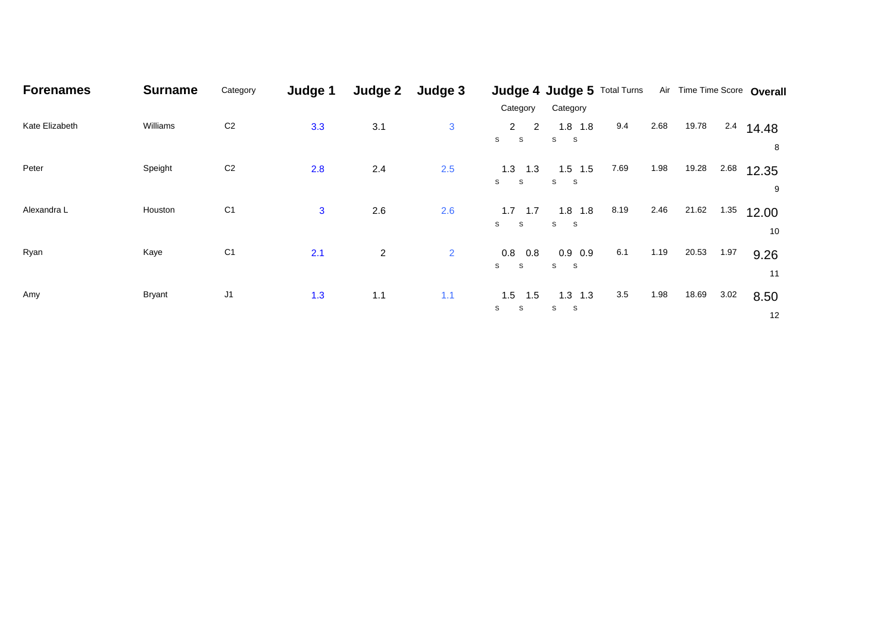| <b>Forenames</b> | <b>Surname</b> | Category       | Judge 1      | Judge 2        | Judge 3        |                                  | Judge 4 Judge 5 Total Turns     |         |      | Air Time Time Score Overall |      |             |  |
|------------------|----------------|----------------|--------------|----------------|----------------|----------------------------------|---------------------------------|---------|------|-----------------------------|------|-------------|--|
|                  |                |                |              |                |                | Category                         | Category                        |         |      |                             |      |             |  |
| Kate Elizabeth   | Williams       | C <sub>2</sub> | 3.3          | 3.1            | $\mathbf{3}$   | $\mathbf{2}$<br>2<br>S<br>S      | $1.8$ 1.8<br>S<br>-S            | 9.4     | 2.68 | 19.78                       | 2.4  | 14.48<br>8  |  |
| Peter            | Speight        | C <sub>2</sub> | 2.8          | 2.4            | 2.5            | 1.3<br>1.3<br>S<br>S             | $1.5$ 1.5<br>S S                | 7.69    | 1.98 | 19.28                       | 2.68 | 12.35<br>9  |  |
| Alexandra L      | Houston        | C <sub>1</sub> | $\mathbf{3}$ | 2.6            | 2.6            | 1.7<br>1.7<br>S.<br>$\mathbf{s}$ | $1.8$ 1.8<br>$S_S$              | 8.19    | 2.46 | 21.62                       | 1.35 | 12.00<br>10 |  |
| Ryan             | Kaye           | C <sub>1</sub> | 2.1          | $\overline{c}$ | $\overline{2}$ | $0.8\quad 0.8$<br>S<br>S         | $0.9\ 0.9$<br>S<br>$\mathbf{s}$ | 6.1     | 1.19 | 20.53                       | 1.97 | 9.26<br>11  |  |
| Amy              | <b>Bryant</b>  | J <sub>1</sub> | 1.3          | 1.1            | 1.1            | $1.5$ 1.5<br>S<br>S              | $1.3$ 1.3<br>S<br>-S            | $3.5\,$ | 1.98 | 18.69                       | 3.02 | 8.50<br>12  |  |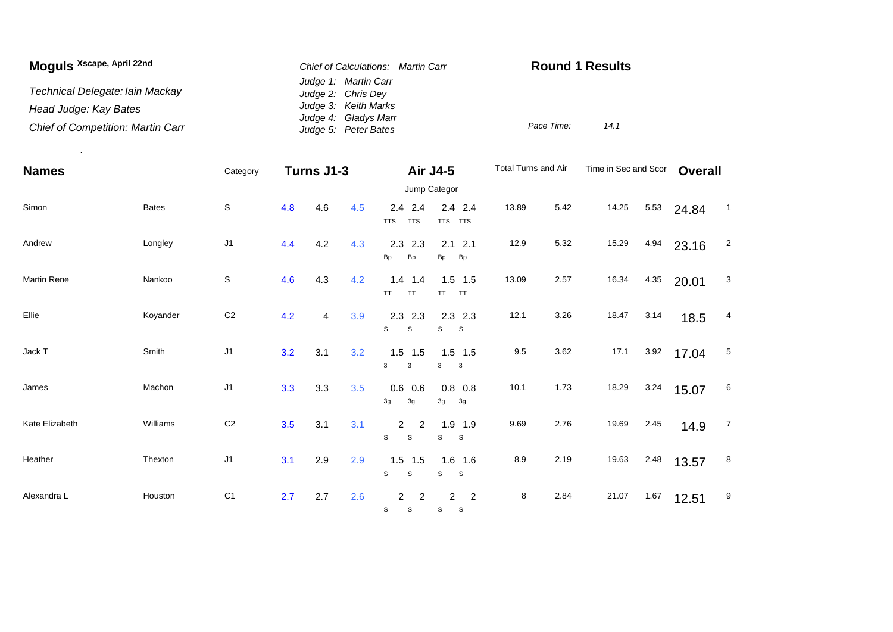| Moguls Xscape, April 22nd                | Chief of Calculations: Martin Carr           | <b>Round 1 Results</b> |  |  |  |  |
|------------------------------------------|----------------------------------------------|------------------------|--|--|--|--|
| Technical Delegate: Iain Mackay          | Judge 1: Martin Carr<br>Judge 2: Chris Dey   |                        |  |  |  |  |
| Head Judge: Kay Bates                    | Judge 3: Keith Marks                         |                        |  |  |  |  |
| <b>Chief of Competition: Martin Carr</b> | Judge 4: Gladys Marr<br>Judge 5: Peter Bates | Pace Time:<br>14.1     |  |  |  |  |

.

| <b>Names</b>   |              | Category       | Turns J1-3 |     |     |                                       | Air J4-5                                   | Total Turns and Air |      | Time in Sec and Scor |      | <b>Overall</b> |                |  |  |
|----------------|--------------|----------------|------------|-----|-----|---------------------------------------|--------------------------------------------|---------------------|------|----------------------|------|----------------|----------------|--|--|
|                |              |                |            |     |     |                                       | Jump Categor                               |                     |      |                      |      |                |                |  |  |
| Simon          | <b>Bates</b> | $\mathsf S$    | 4.8        | 4.6 | 4.5 | $2.4$ 2.4<br><b>TTS</b><br><b>TTS</b> | $2.4$ 2.4<br>TTS TTS                       | 13.89               | 5.42 | 14.25                | 5.53 | 24.84          | $\overline{1}$ |  |  |
| Andrew         | Longley      | J <sub>1</sub> | 4.4        | 4.2 | 4.3 | 2.3<br>2.3<br>Bp<br><b>Bp</b>         | $2.1$ 2.1<br>Bp<br><b>Bp</b>               | 12.9                | 5.32 | 15.29                | 4.94 | 23.16          | $\overline{2}$ |  |  |
| Martin Rene    | Nankoo       | $\mathsf S$    | 4.6        | 4.3 | 4.2 | 1.4<br>1.4<br>TT.<br><b>TT</b>        | $1.5$ 1.5<br>TT TT                         | 13.09               | 2.57 | 16.34                | 4.35 | 20.01          | 3              |  |  |
| Ellie          | Koyander     | C <sub>2</sub> | 4.2        | 4   | 3.9 | $2.3$ 2.3<br>s<br>S                   | $2.3$ 2.3<br>s<br>$\mathbf{s}$             | 12.1                | 3.26 | 18.47                | 3.14 | 18.5           | 4              |  |  |
| Jack T         | Smith        | J <sub>1</sub> | 3.2        | 3.1 | 3.2 | $1.5$ 1.5<br>3<br>$\mathbf{3}$        | $1.5$ 1.5<br>3<br>$\overline{\mathbf{3}}$  | 9.5                 | 3.62 | 17.1                 | 3.92 | 17.04          | 5              |  |  |
| James          | Machon       | J <sub>1</sub> | 3.3        | 3.3 | 3.5 | 0.6<br>0.6<br>3g<br>3g                | $0.8\ 0.8$<br>3g<br>3g                     | 10.1                | 1.73 | 18.29                | 3.24 | 15.07          | 6              |  |  |
| Kate Elizabeth | Williams     | C <sub>2</sub> | 3.5        | 3.1 | 3.1 | $\overline{2}$<br>2<br>s<br>S         | $1.9$ 1.9<br>S<br>S                        | 9.69                | 2.76 | 19.69                | 2.45 | 14.9           | $\overline{7}$ |  |  |
| Heather        | Thexton      | J <sub>1</sub> | 3.1        | 2.9 | 2.9 | $1.5$ 1.5<br>S<br>s                   | $1.6$ 1.6<br>S<br>$\mathbf{s}$             | 8.9                 | 2.19 | 19.63                | 2.48 | 13.57          | 8              |  |  |
| Alexandra L    | Houston      | C <sub>1</sub> | 2.7        | 2.7 | 2.6 | $\overline{2}$<br>2<br>S<br>S         | $\overline{c}$<br>$\overline{2}$<br>S<br>S | 8                   | 2.84 | 21.07                | 1.67 | 12.51          | 9              |  |  |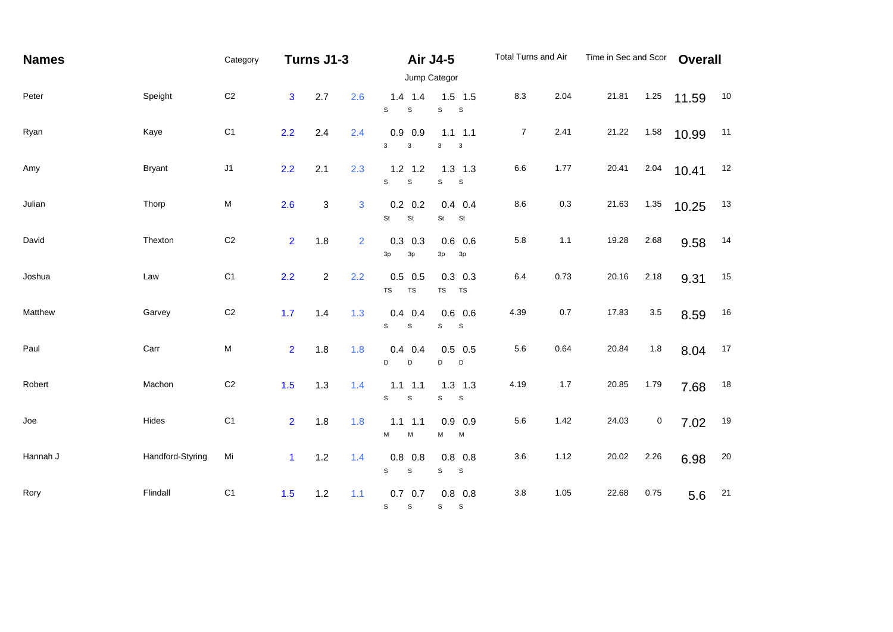| <b>Names</b> |                  | Category       |                | Turns J1-3     |                | <b>Air J4-5</b>                                              | Total Turns and Air         |                | Time in Sec and Scor |       | <b>Overall</b> |       |        |
|--------------|------------------|----------------|----------------|----------------|----------------|--------------------------------------------------------------|-----------------------------|----------------|----------------------|-------|----------------|-------|--------|
| Peter        | Speight          | C <sub>2</sub> | 3              | 2.7            | 2.6            | Jump Categor<br>$1.4$ 1.4<br>$\mathsf S$<br>S<br>$\mathbb S$ | $1.5$ 1.5<br>$\mathbf S$    | 8.3            | 2.04                 | 21.81 | 1.25           | 11.59 | 10     |
| Ryan         | Kaye             | C <sub>1</sub> | 2.2            | 2.4            | 2.4            | $0.9$ 0.9<br>3<br>$\mathbf{3}$<br>3                          | $1.1$ $1.1$<br>3            | $\overline{7}$ | 2.41                 | 21.22 | 1.58           | 10.99 | 11     |
| Amy          | <b>Bryant</b>    | J1             | 2.2            | 2.1            | 2.3            | $1.2$ 1.2<br>S<br>$\mathbb S$<br>$\mathbb S$                 | $1.3$ $1.3$<br>$\mathsf S$  | 6.6            | 1.77                 | 20.41 | 2.04           | 10.41 | 12     |
| Julian       | Thorp            | ${\sf M}$      | 2.6            | $\mathbf 3$    | 3              | $0.2\ 0.2$<br>St<br>St<br>$\mathsf{St}$                      | $0.4$ 0.4<br>St             | $8.6\,$        | 0.3                  | 21.63 | 1.35           | 10.25 | 13     |
| David        | Thexton          | $\mbox{C2}$    | $\overline{2}$ | 1.8            | $\overline{2}$ | $0.3$ 0.3<br>3p<br>3p<br>3p                                  | $0.6$ 0.6<br>3p             | 5.8            | 1.1                  | 19.28 | 2.68           | 9.58  | 14     |
| Joshua       | Law              | C <sub>1</sub> | 2.2            | $\overline{c}$ | 2.2            | $0.5$ 0.5<br>$\mathsf{TS}$<br>TS<br>TS                       | $0.3$ 0.3<br><b>TS</b>      | 6.4            | 0.73                 | 20.16 | 2.18           | 9.31  | 15     |
| Matthew      | Garvey           | $\mbox{C2}$    | 1.7            | 1.4            | 1.3            | $0.4$ 0.4<br>$\mathbb S$<br>S<br>$\mathbb S$                 | $0.6$ 0.6<br>$\mathbf{s}$   | 4.39           | 0.7                  | 17.83 | $3.5\,$        | 8.59  | $16\,$ |
| Paul         | Carr             | ${\sf M}$      | $\overline{2}$ | 1.8            | 1.8            | $0.4$ 0.4<br>D<br>D<br>D                                     | $0.5$ 0.5<br>D              | 5.6            | 0.64                 | 20.84 | 1.8            | 8.04  | 17     |
| Robert       | Machon           | $\mbox{C2}$    | 1.5            | 1.3            | 1.4            | $1.1$ 1.1<br>s<br>$\mathbb S$<br>$\mathbf S$                 | $1.3$ $1.3$<br>$\mathsf{s}$ | 4.19           | 1.7                  | 20.85 | 1.79           | 7.68  | 18     |
| Joe          | Hides            | C <sub>1</sub> | $\overline{2}$ | 1.8            | 1.8            | $1.1$ $1.1$<br>M<br>М<br>M                                   | $0.9$ 0.9<br>M              | 5.6            | 1.42                 | 24.03 | 0              | 7.02  | 19     |
| Hannah J     | Handford-Styring | Mi             | $\mathbf{1}$   | 1.2            | 1.4            | $0.8$ 0.8<br>S<br>$\mathsf S$<br>$\mathbb S$                 | $0.8$ 0.8<br>S              | 3.6            | 1.12                 | 20.02 | 2.26           | 6.98  | 20     |
| Rory         | Flindall         | C <sub>1</sub> | 1.5            | 1.2            | 1.1            | $0.7\quad 0.7$<br>S<br>$\mathsf{s}$<br>$S_S$                 | $0.8$ 0.8                   | 3.8            | 1.05                 | 22.68 | 0.75           | 5.6   | 21     |